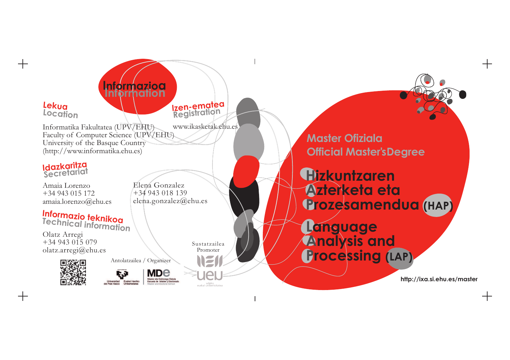